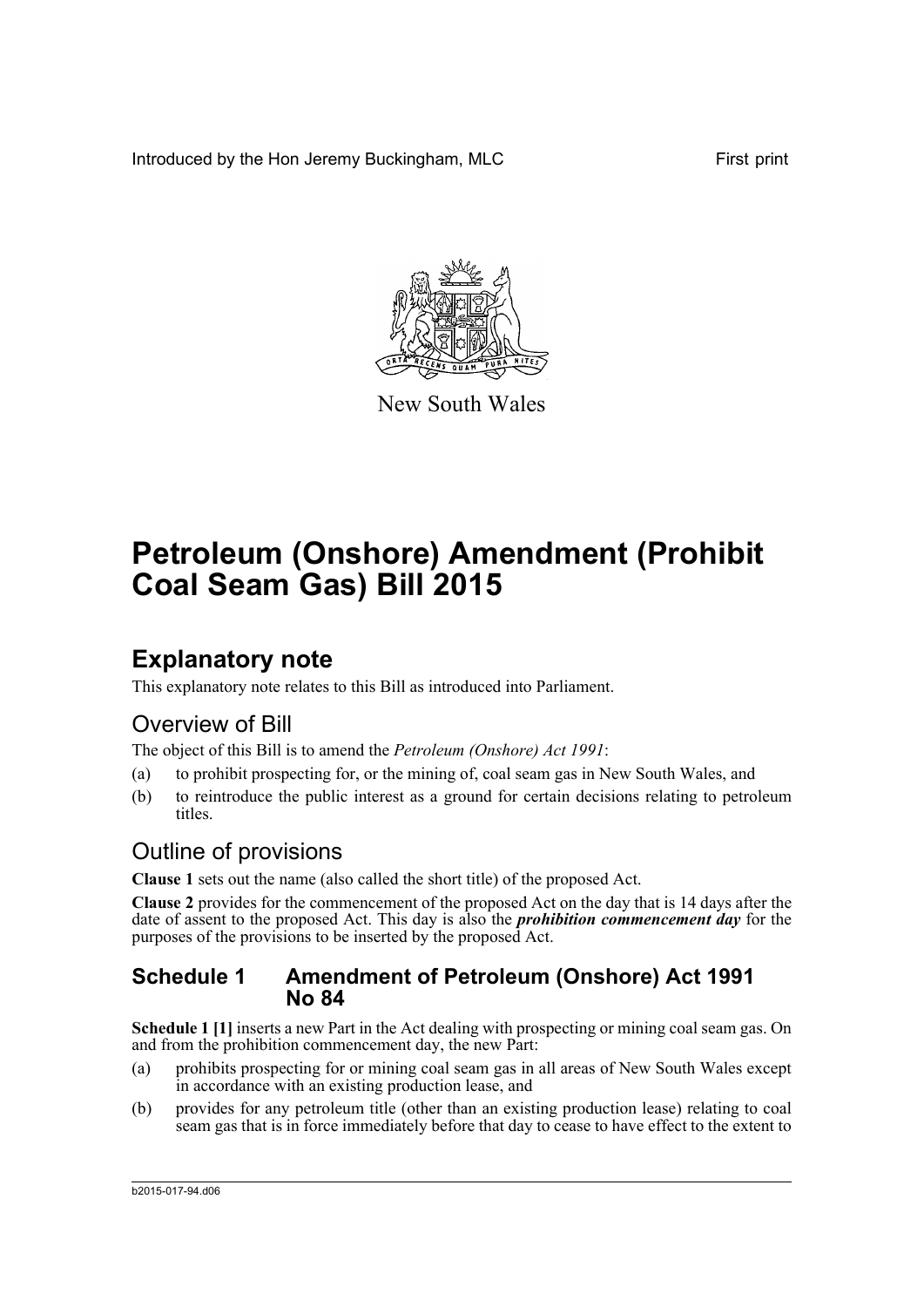Introduced by the Hon Jeremy Buckingham, MLC First print



New South Wales

# **Petroleum (Onshore) Amendment (Prohibit Coal Seam Gas) Bill 2015**

## **Explanatory note**

This explanatory note relates to this Bill as introduced into Parliament.

### Overview of Bill

The object of this Bill is to amend the *Petroleum (Onshore) Act 1991*:

- (a) to prohibit prospecting for, or the mining of, coal seam gas in New South Wales, and
- (b) to reintroduce the public interest as a ground for certain decisions relating to petroleum titles.

### Outline of provisions

**Clause 1** sets out the name (also called the short title) of the proposed Act.

**Clause 2** provides for the commencement of the proposed Act on the day that is 14 days after the date of assent to the proposed Act. This day is also the *prohibition commencement day* for the purposes of the provisions to be inserted by the proposed Act.

#### **Schedule 1 Amendment of Petroleum (Onshore) Act 1991 No 84**

**Schedule 1 [1]** inserts a new Part in the Act dealing with prospecting or mining coal seam gas. On and from the prohibition commencement day, the new Part:

- (a) prohibits prospecting for or mining coal seam gas in all areas of New South Wales except in accordance with an existing production lease, and
- (b) provides for any petroleum title (other than an existing production lease) relating to coal seam gas that is in force immediately before that day to cease to have effect to the extent to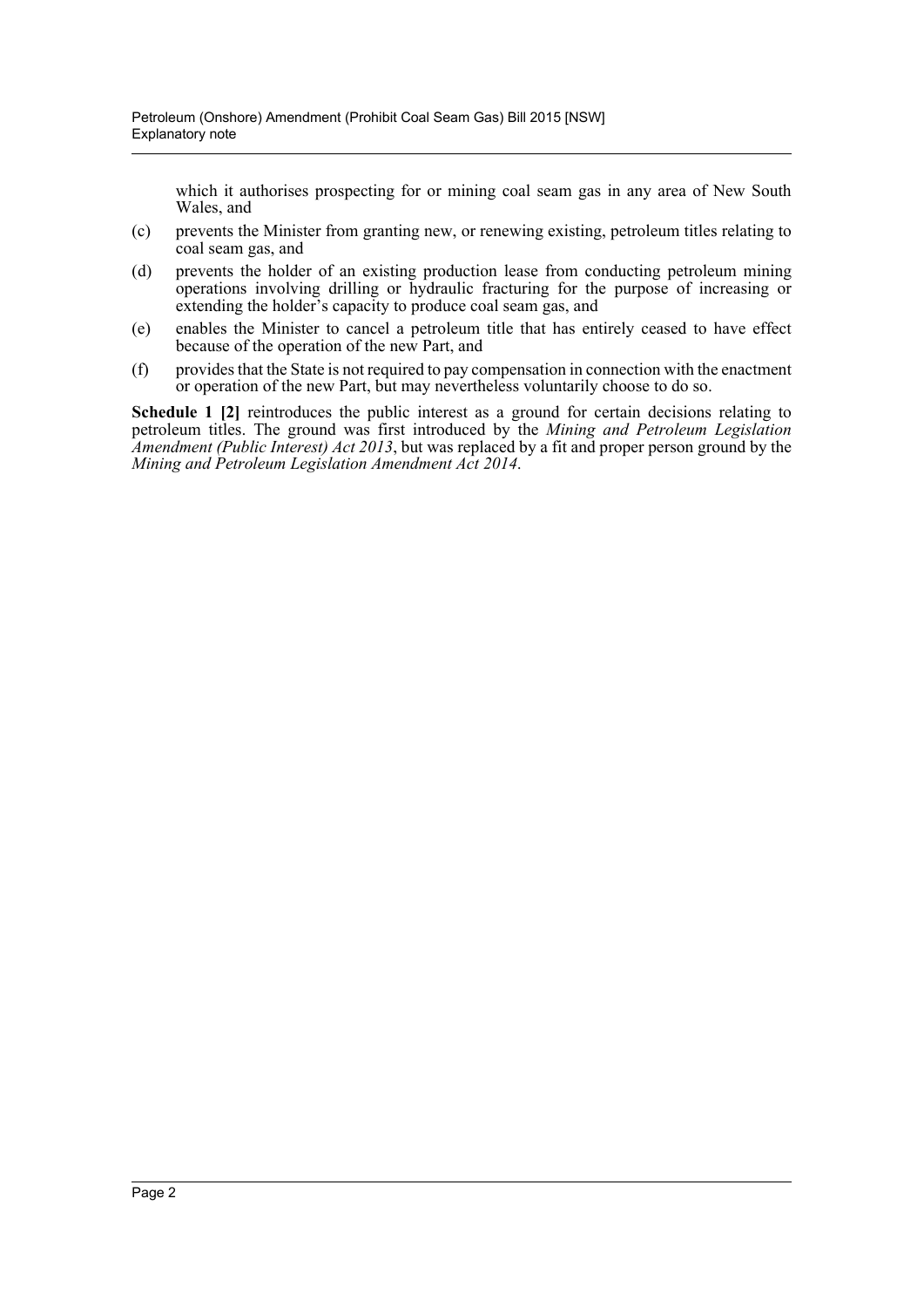which it authorises prospecting for or mining coal seam gas in any area of New South Wales, and

- (c) prevents the Minister from granting new, or renewing existing, petroleum titles relating to coal seam gas, and
- (d) prevents the holder of an existing production lease from conducting petroleum mining operations involving drilling or hydraulic fracturing for the purpose of increasing or extending the holder's capacity to produce coal seam gas, and
- (e) enables the Minister to cancel a petroleum title that has entirely ceased to have effect because of the operation of the new Part, and
- (f) provides that the State is not required to pay compensation in connection with the enactment or operation of the new Part, but may nevertheless voluntarily choose to do so.

**Schedule 1 [2]** reintroduces the public interest as a ground for certain decisions relating to petroleum titles. The ground was first introduced by the *Mining and Petroleum Legislation Amendment (Public Interest) Act 2013*, but was replaced by a fit and proper person ground by the *Mining and Petroleum Legislation Amendment Act 2014*.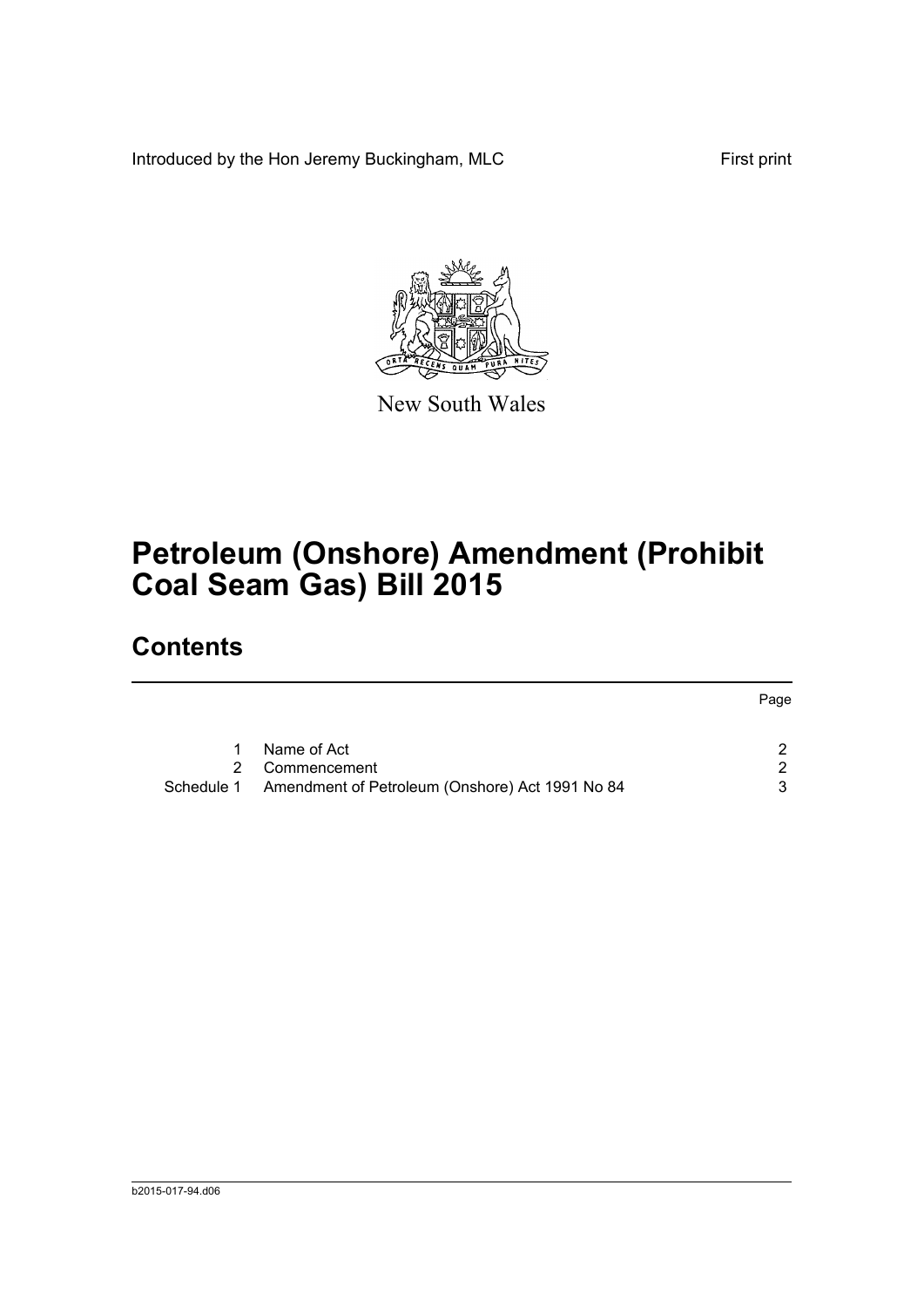Introduced by the Hon Jeremy Buckingham, MLC First print



New South Wales

# **Petroleum (Onshore) Amendment (Prohibit Coal Seam Gas) Bill 2015**

## **Contents**

|            |                                                 | Page |
|------------|-------------------------------------------------|------|
| 1.         | Name of Act                                     | 2    |
|            | 2 Commencement                                  | 2    |
| Schedule 1 | Amendment of Petroleum (Onshore) Act 1991 No 84 | 3    |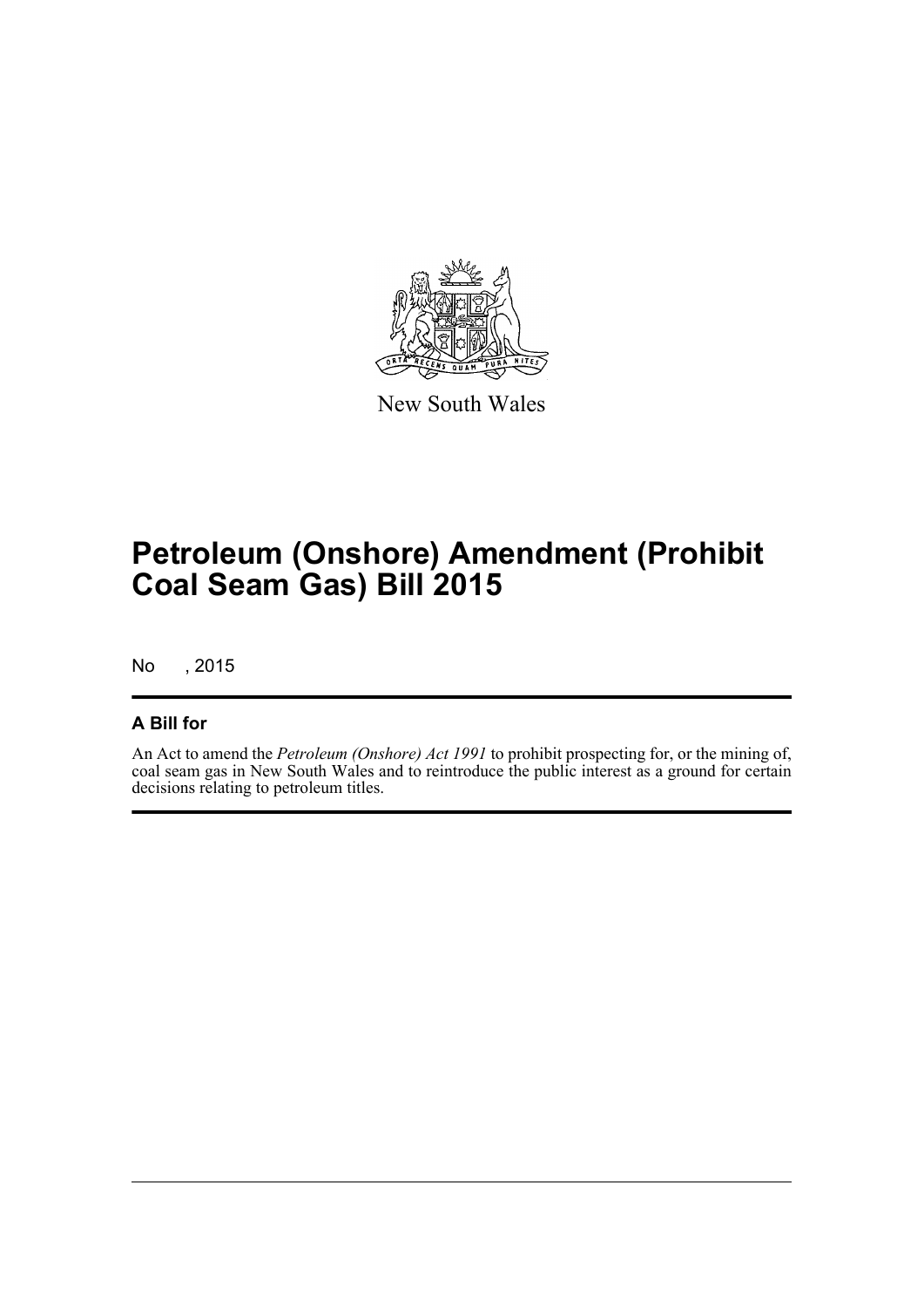

New South Wales

## **Petroleum (Onshore) Amendment (Prohibit Coal Seam Gas) Bill 2015**

No , 2015

#### **A Bill for**

An Act to amend the *Petroleum (Onshore) Act 1991* to prohibit prospecting for, or the mining of, coal seam gas in New South Wales and to reintroduce the public interest as a ground for certain decisions relating to petroleum titles.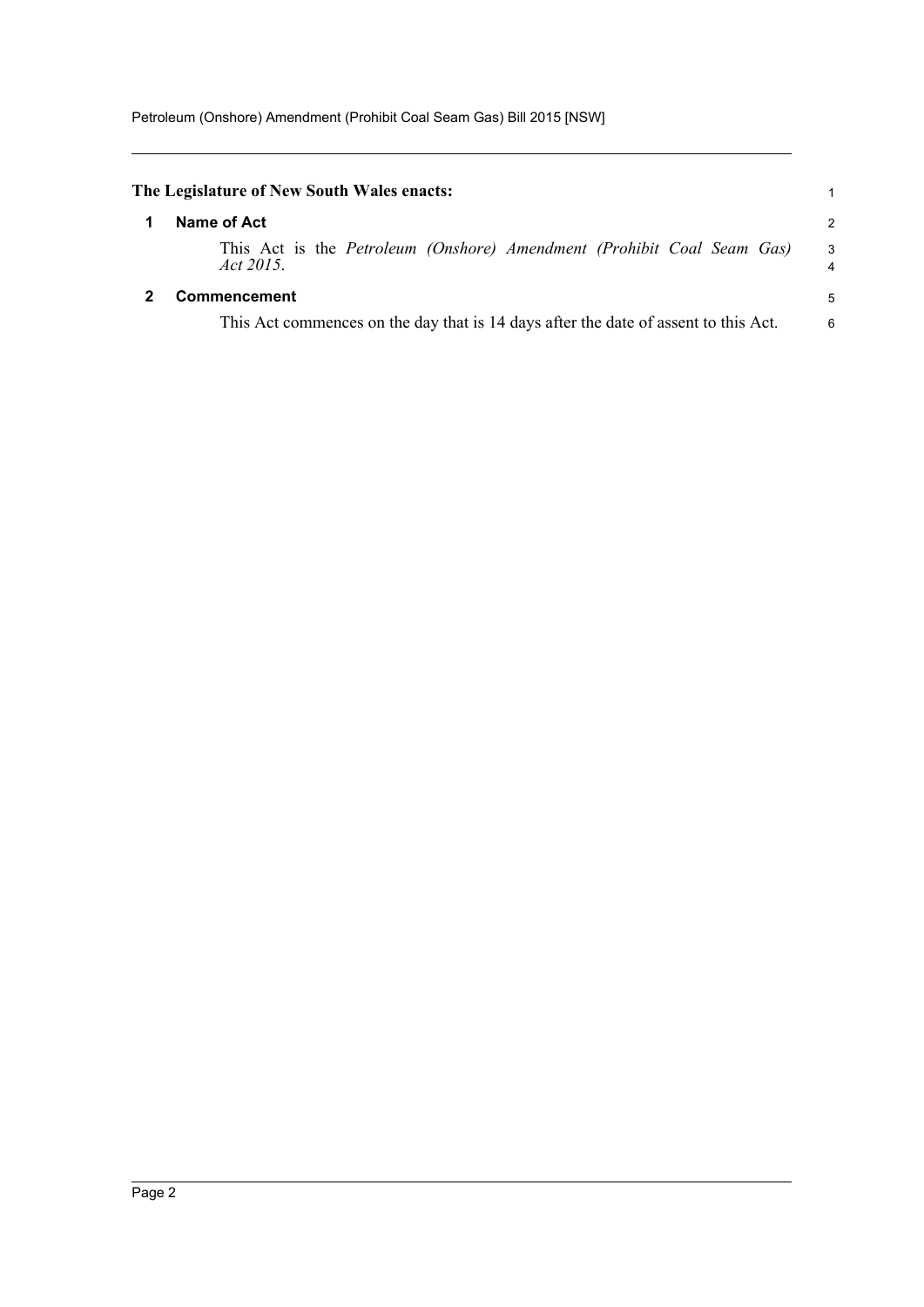<span id="page-4-1"></span><span id="page-4-0"></span>

| The Legislature of New South Wales enacts:                                                                 |                |
|------------------------------------------------------------------------------------------------------------|----------------|
| Name of Act                                                                                                | $\overline{c}$ |
| This Act is the Petroleum (Onshore) Amendment (Prohibit Coal Seam Gas)<br>Act 2015.                        | 3<br>4         |
| <b>Commencement</b><br>This Act commences on the day that is 14 days after the date of assent to this Act. | 5<br>6         |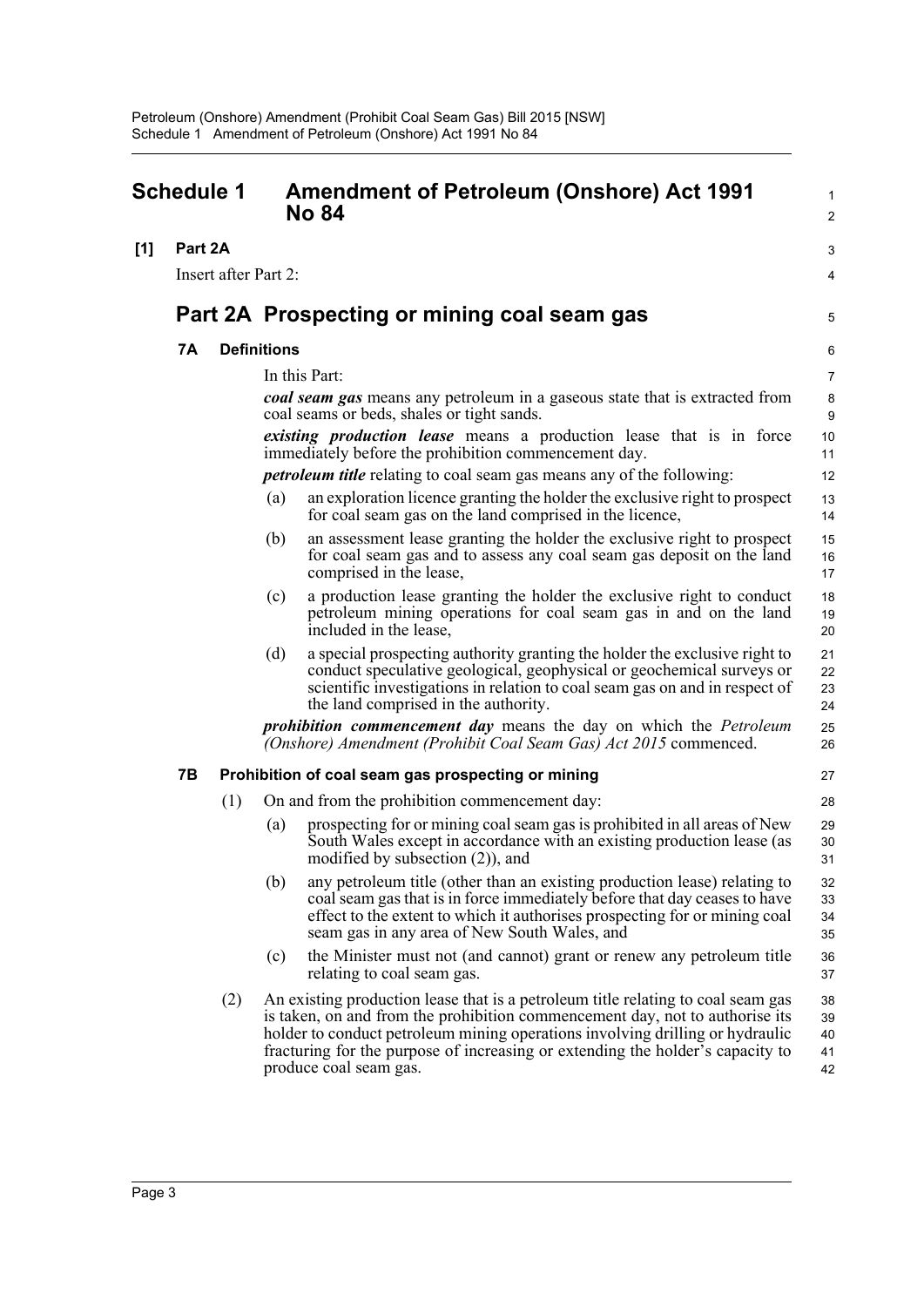<span id="page-5-0"></span>

| <b>Schedule 1</b> |                      |     | <b>Amendment of Petroleum (Onshore) Act 1991</b><br><b>No 84</b> | 1<br>$\overline{c}$                                                                                                                                                                                                                                                                                                                                           |                            |
|-------------------|----------------------|-----|------------------------------------------------------------------|---------------------------------------------------------------------------------------------------------------------------------------------------------------------------------------------------------------------------------------------------------------------------------------------------------------------------------------------------------------|----------------------------|
| [1]               | Part 2A              |     |                                                                  |                                                                                                                                                                                                                                                                                                                                                               | 3                          |
|                   | Insert after Part 2: |     |                                                                  | 4                                                                                                                                                                                                                                                                                                                                                             |                            |
|                   |                      |     |                                                                  | Part 2A Prospecting or mining coal seam gas                                                                                                                                                                                                                                                                                                                   | 5                          |
|                   | 7A                   |     | <b>Definitions</b>                                               |                                                                                                                                                                                                                                                                                                                                                               | 6                          |
|                   |                      |     |                                                                  | In this Part:                                                                                                                                                                                                                                                                                                                                                 | 7                          |
|                   |                      |     |                                                                  | coal seam gas means any petroleum in a gaseous state that is extracted from<br>coal seams or beds, shales or tight sands.                                                                                                                                                                                                                                     | 8<br>9                     |
|                   |                      |     |                                                                  | existing production lease means a production lease that is in force<br>immediately before the prohibition commencement day.                                                                                                                                                                                                                                   | 10<br>11                   |
|                   |                      |     |                                                                  | <i>petroleum title</i> relating to coal seam gas means any of the following:                                                                                                                                                                                                                                                                                  | 12                         |
|                   |                      |     | (a)                                                              | an exploration licence granting the holder the exclusive right to prospect<br>for coal seam gas on the land comprised in the licence,                                                                                                                                                                                                                         | 13<br>14                   |
|                   |                      |     | (b)                                                              | an assessment lease granting the holder the exclusive right to prospect<br>for coal seam gas and to assess any coal seam gas deposit on the land<br>comprised in the lease,                                                                                                                                                                                   | 15<br>16<br>17             |
|                   |                      |     | (c)                                                              | a production lease granting the holder the exclusive right to conduct<br>petroleum mining operations for coal seam gas in and on the land<br>included in the lease,                                                                                                                                                                                           | 18<br>19<br>20             |
|                   |                      |     | (d)                                                              | a special prospecting authority granting the holder the exclusive right to<br>conduct speculative geological, geophysical or geochemical surveys or<br>scientific investigations in relation to coal seam gas on and in respect of<br>the land comprised in the authority.                                                                                    | 21<br>22<br>23<br>24       |
|                   |                      |     |                                                                  | <i>prohibition commencement day</i> means the day on which the <i>Petroleum</i><br>(Onshore) Amendment (Prohibit Coal Seam Gas) Act 2015 commenced.                                                                                                                                                                                                           | 25<br>26                   |
|                   | 7B                   |     |                                                                  | Prohibition of coal seam gas prospecting or mining                                                                                                                                                                                                                                                                                                            | 27                         |
|                   |                      | (1) |                                                                  | On and from the prohibition commencement day:                                                                                                                                                                                                                                                                                                                 | 28                         |
|                   |                      |     | (a)                                                              | prospecting for or mining coal seam gas is prohibited in all areas of New<br>South Wales except in accordance with an existing production lease (as<br>modified by subsection $(2)$ ), and                                                                                                                                                                    | 29<br>30<br>31             |
|                   |                      |     | (b)                                                              | any petroleum title (other than an existing production lease) relating to<br>coal seam gas that is in force immediately before that day ceases to have<br>effect to the extent to which it authorises prospecting for or mining coal<br>seam gas in any area of New South Wales, and                                                                          | 32<br>33<br>34<br>35       |
|                   |                      |     | (c)                                                              | the Minister must not (and cannot) grant or renew any petroleum title<br>relating to coal seam gas.                                                                                                                                                                                                                                                           | 36<br>37                   |
|                   |                      | (2) |                                                                  | An existing production lease that is a petroleum title relating to coal seam gas<br>is taken, on and from the prohibition commencement day, not to authorise its<br>holder to conduct petroleum mining operations involving drilling or hydraulic<br>fracturing for the purpose of increasing or extending the holder's capacity to<br>produce coal seam gas. | 38<br>39<br>40<br>41<br>42 |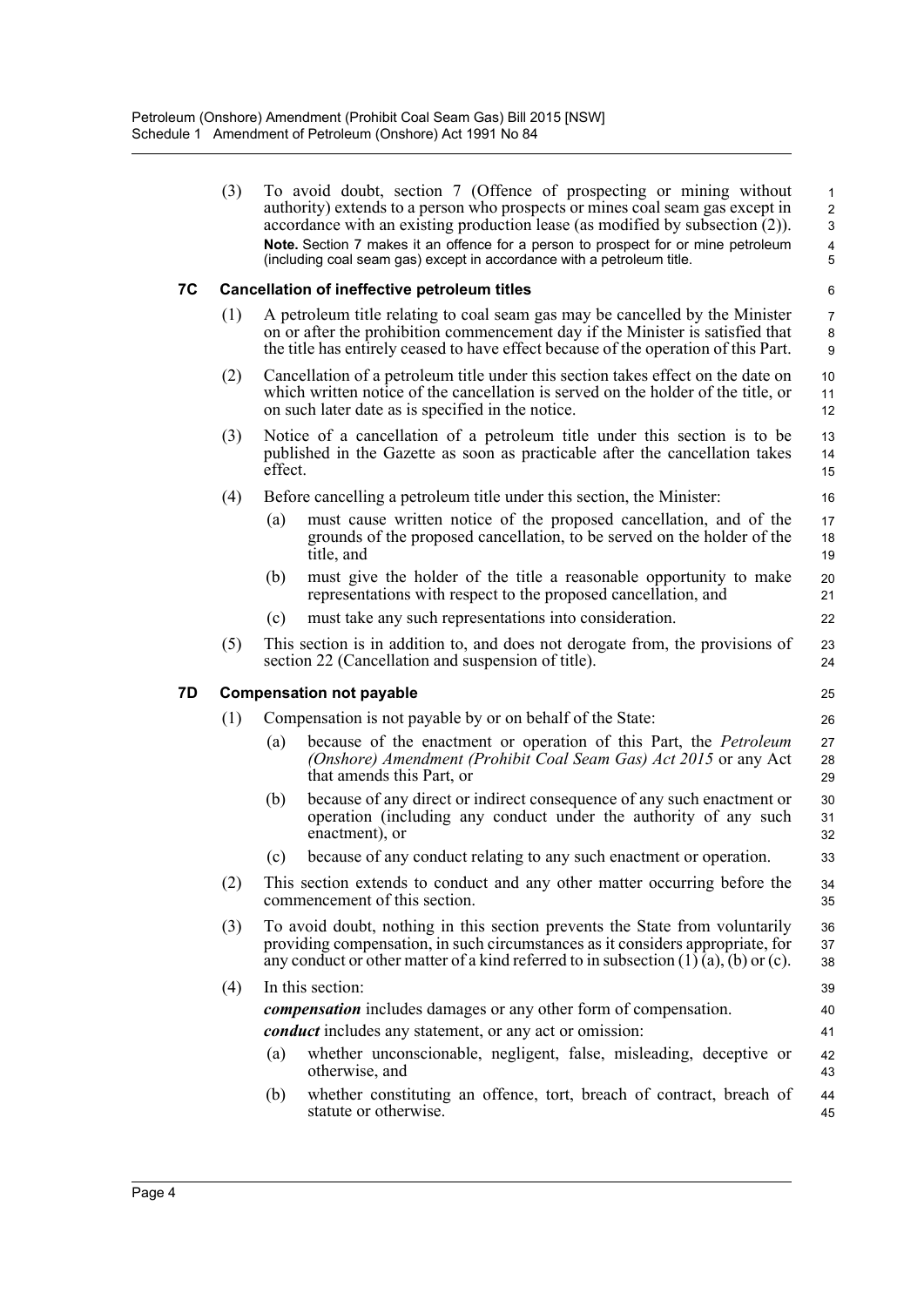|    | (3) |                                                                                                                                                                                                                                                         | To avoid doubt, section 7 (Offence of prospecting or mining without<br>authority) extends to a person who prospects or mines coal seam gas except in<br>accordance with an existing production lease (as modified by subsection $(2)$ ).<br>Note. Section 7 makes it an offence for a person to prospect for or mine petroleum<br>(including coal seam gas) except in accordance with a petroleum title. | $\mathbf{1}$<br>$\overline{2}$<br>3<br>4<br>5 |  |  |  |  |  |
|----|-----|---------------------------------------------------------------------------------------------------------------------------------------------------------------------------------------------------------------------------------------------------------|----------------------------------------------------------------------------------------------------------------------------------------------------------------------------------------------------------------------------------------------------------------------------------------------------------------------------------------------------------------------------------------------------------|-----------------------------------------------|--|--|--|--|--|
| 7C |     | Cancellation of ineffective petroleum titles                                                                                                                                                                                                            |                                                                                                                                                                                                                                                                                                                                                                                                          |                                               |  |  |  |  |  |
|    | (1) | A petroleum title relating to coal seam gas may be cancelled by the Minister<br>on or after the prohibition commencement day if the Minister is satisfied that<br>the title has entirely ceased to have effect because of the operation of this Part.   |                                                                                                                                                                                                                                                                                                                                                                                                          |                                               |  |  |  |  |  |
|    | (2) | Cancellation of a petroleum title under this section takes effect on the date on<br>which written notice of the cancellation is served on the holder of the title, or<br>on such later date as is specified in the notice.                              |                                                                                                                                                                                                                                                                                                                                                                                                          |                                               |  |  |  |  |  |
|    | (3) | Notice of a cancellation of a petroleum title under this section is to be<br>published in the Gazette as soon as practicable after the cancellation takes<br>effect.                                                                                    |                                                                                                                                                                                                                                                                                                                                                                                                          |                                               |  |  |  |  |  |
|    | (4) |                                                                                                                                                                                                                                                         | Before cancelling a petroleum title under this section, the Minister:                                                                                                                                                                                                                                                                                                                                    | 16                                            |  |  |  |  |  |
|    |     | (a)                                                                                                                                                                                                                                                     | must cause written notice of the proposed cancellation, and of the<br>grounds of the proposed cancellation, to be served on the holder of the<br>title, and                                                                                                                                                                                                                                              | 17<br>18<br>19                                |  |  |  |  |  |
|    |     | (b)                                                                                                                                                                                                                                                     | must give the holder of the title a reasonable opportunity to make<br>representations with respect to the proposed cancellation, and                                                                                                                                                                                                                                                                     | 20<br>21                                      |  |  |  |  |  |
|    |     | (c)                                                                                                                                                                                                                                                     | must take any such representations into consideration.                                                                                                                                                                                                                                                                                                                                                   | 22                                            |  |  |  |  |  |
|    | (5) |                                                                                                                                                                                                                                                         | This section is in addition to, and does not derogate from, the provisions of<br>section 22 (Cancellation and suspension of title).                                                                                                                                                                                                                                                                      | 23<br>24                                      |  |  |  |  |  |
| 7D |     | <b>Compensation not payable</b><br>25                                                                                                                                                                                                                   |                                                                                                                                                                                                                                                                                                                                                                                                          |                                               |  |  |  |  |  |
|    | (1) |                                                                                                                                                                                                                                                         | Compensation is not payable by or on behalf of the State:                                                                                                                                                                                                                                                                                                                                                | 26                                            |  |  |  |  |  |
|    |     | (a)                                                                                                                                                                                                                                                     | because of the enactment or operation of this Part, the <i>Petroleum</i><br>(Onshore) Amendment (Prohibit Coal Seam Gas) Act 2015 or any Act<br>that amends this Part, or                                                                                                                                                                                                                                | 27<br>28<br>29                                |  |  |  |  |  |
|    |     | (b)                                                                                                                                                                                                                                                     | because of any direct or indirect consequence of any such enactment or<br>operation (including any conduct under the authority of any such<br>enactment), or                                                                                                                                                                                                                                             | 30<br>31<br>32                                |  |  |  |  |  |
|    |     | (c)                                                                                                                                                                                                                                                     | because of any conduct relating to any such enactment or operation.                                                                                                                                                                                                                                                                                                                                      | 33                                            |  |  |  |  |  |
|    | (2) | This section extends to conduct and any other matter occurring before the<br>commencement of this section.                                                                                                                                              |                                                                                                                                                                                                                                                                                                                                                                                                          |                                               |  |  |  |  |  |
|    | (3) | To avoid doubt, nothing in this section prevents the State from voluntarily<br>providing compensation, in such circumstances as it considers appropriate, for<br>any conduct or other matter of a kind referred to in subsection $(1)$ (a), (b) or (c). |                                                                                                                                                                                                                                                                                                                                                                                                          |                                               |  |  |  |  |  |
|    | (4) |                                                                                                                                                                                                                                                         | In this section:                                                                                                                                                                                                                                                                                                                                                                                         | 39                                            |  |  |  |  |  |
|    |     |                                                                                                                                                                                                                                                         | <i>compensation</i> includes damages or any other form of compensation.                                                                                                                                                                                                                                                                                                                                  | 40                                            |  |  |  |  |  |
|    |     |                                                                                                                                                                                                                                                         | <i>conduct</i> includes any statement, or any act or omission:                                                                                                                                                                                                                                                                                                                                           | 41                                            |  |  |  |  |  |
|    |     | (a)                                                                                                                                                                                                                                                     | whether unconscionable, negligent, false, misleading, deceptive or<br>otherwise, and                                                                                                                                                                                                                                                                                                                     | 42<br>43                                      |  |  |  |  |  |
|    |     | (b)                                                                                                                                                                                                                                                     | whether constituting an offence, tort, breach of contract, breach of<br>statute or otherwise.                                                                                                                                                                                                                                                                                                            | 44<br>45                                      |  |  |  |  |  |